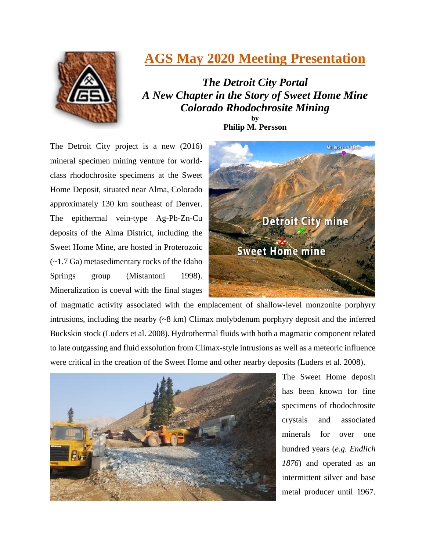

## **AGS May 2020 Meeting Presentation**

*The Detroit City Portal A New Chapter in the Story of Sweet Home Mine Colorado Rhodochrosite Mining*  **by**

**Philip M. Persson**

The Detroit City project is a new (2016) mineral specimen mining venture for worldclass rhodochrosite specimens at the Sweet Home Deposit, situated near Alma, Colorado approximately 130 km southeast of Denver. The epithermal vein-type Ag-Pb-Zn-Cu deposits of the Alma District, including the Sweet Home Mine, are hosted in Proterozoic (~1.7 Ga) metasedimentary rocks of the Idaho Springs group (Mistantoni 1998). Mineralization is coeval with the final stages



of magmatic activity associated with the emplacement of shallow-level monzonite porphyry intrusions, including the nearby  $({\sim}8 \text{ km})$  Climax molybdenum porphyry deposit and the inferred Buckskin stock (Luders et al. 2008). Hydrothermal fluids with both a magmatic component related to late outgassing and fluid exsolution from Climax-style intrusions as well as a meteoric influence were critical in the creation of the Sweet Home and other nearby deposits (Luders et al. 2008).



The Sweet Home deposit has been known for fine specimens of rhodochrosite crystals and associated minerals for over one hundred years (*e.g. Endlich 1876*) and operated as an intermittent silver and base metal producer until 1967.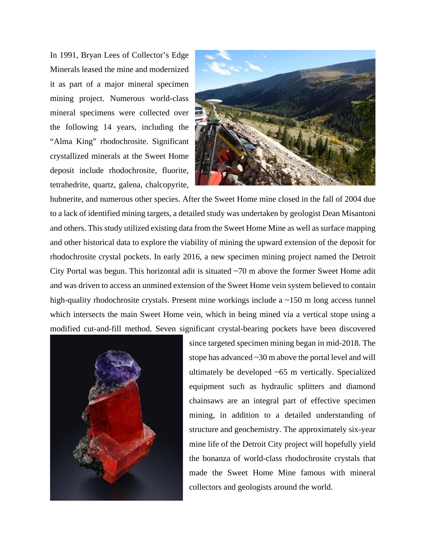In 1991, Bryan Lees of Collector's Edge Minerals leased the mine and modernized it as part of a major mineral specimen mining project. Numerous world-class mineral specimens were collected over the following 14 years, including the "Alma King" rhodochrosite. Significant crystallized minerals at the Sweet Home deposit include rhodochrosite, fluorite, tetrahedrite, quartz, galena, chalcopyrite,



hubnerite, and numerous other species. After the Sweet Home mine closed in the fall of 2004 due to a lack of identified mining targets, a detailed study was undertaken by geologist Dean Misantoni and others. This study utilized existing data from the Sweet Home Mine as well as surface mapping and other historical data to explore the viability of mining the upward extension of the deposit for rhodochrosite crystal pockets. In early 2016, a new specimen mining project named the Detroit City Portal was begun. This horizontal adit is situated ~70 m above the former Sweet Home adit and was driven to access an unmined extension of the Sweet Home vein system believed to contain high-quality rhodochrosite crystals. Present mine workings include a ~150 m long access tunnel which intersects the main Sweet Home vein, which in being mined via a vertical stope using a modified cut-and-fill method. Seven significant crystal-bearing pockets have been discovered



since targeted specimen mining began in mid-2018. The stope has advanced ~30 m above the portal level and will ultimately be developed ~65 m vertically. Specialized equipment such as hydraulic splitters and diamond chainsaws are an integral part of effective specimen mining, in addition to a detailed understanding of structure and geochemistry. The approximately six-year mine life of the Detroit City project will hopefully yield the bonanza of world-class rhodochrosite crystals that made the Sweet Home Mine famous with mineral collectors and geologists around the world.